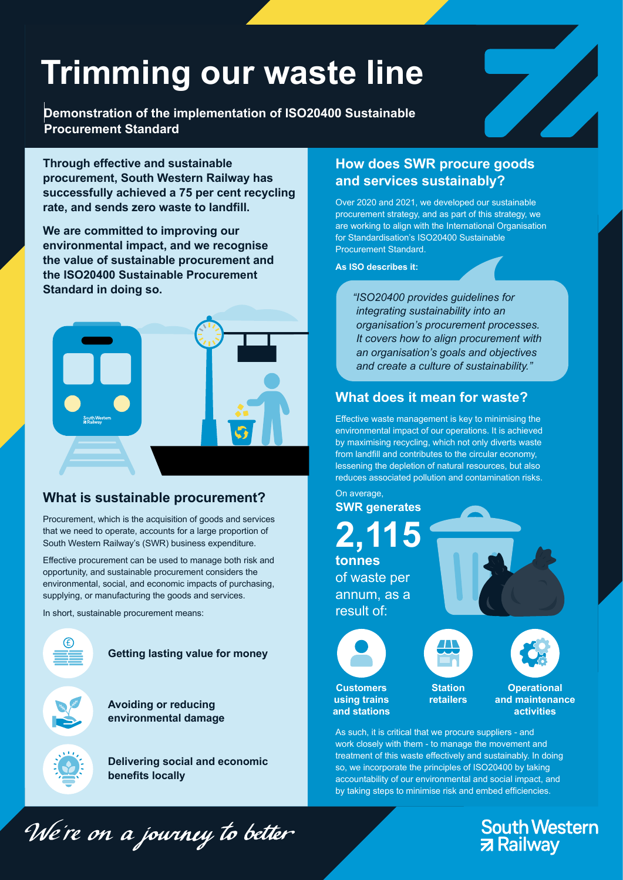## Trimming our waste line **Winning the war on was in war war was the war Winning our Trimming our**

**Demonstration of the implementation of ISO2400 Sustainable Procurement Standard Demonstration of the implementation of ISO2400 Sustainable Procurement Standard Minning the implementation of ISO20400 Sustainable**<br>Procurement Standard **Minds**<br>Bemonstration of the interpendent Standard **on Washington of the implement**<br>**Procurement Standard** 

**Demonstration of the implementation of ISO2400 Sustainable Procurement Standard**

**Through effective and sustainable 11 Through effective and sustainable<br>The procurement, South Western Railway has and and** successfully achieved a 75 per cent recycling **CODING 1999 UDWHDQGVHQGV]HURZDVWHWRODQG¿OO Through effective and sustainable How does SWR procure goods Through effective and sustainable procurement, South Western Railway has Demonstration of the implementation of ISO2400 Sustainable Demonstration of the implementation of ISO2400 Sustainable procurement, South Western Railway has Procurement Standard Standard Standard Standard Standard Standard Standard Standard Standard Standard Standard ISO20400 Sustainable**<br> **ISO20400 Sustainable**<br> **ISO20400 Sustainable**<br> **ISO20400 Sustainable**<br> **ISO20400 Sustainable**<br> **ISO20400 Sustainable**<br> **ISO20400 Sustainable**<br> **ISO20400 Sustainable procurement and<br>
the ISO20400 Su and services sustainably?**<br>**and services sustainably?** 

**Demonstration of the implementation of ISO2400 Sustainable Procurement Standard**

**EXECUTE: We are committed to improving our Exercise** environmental impact, and we recognise<br>Procurement S **the value of sustainable procurement and procurement strategy, we are of the value** of sustainable procurement and **Extend the ISO20400 Sustainable Procurement example in the control of the community of control in the state of the state of the state of the state of the state of the state of the state of the state of the state of the state of the state of the state of the state o As ISO describes it:** And International Organisation with the International Organisation of International Organisation **the value of sustainable procurement and the value of sustainable processes successfully** and  $\mathbf{v}$ **are white to all sustainable procurement** and and the ISO20400 Sustainable Procurement for  $\mathbf{S}$  for  $\mathbf{S}$  and  $\mathbf{S}$  and  $\mathbf{S}$  sustainable sustainable sustainable sustainable sustainable sustainable sustainable sustainable sustainable sustainable sustainable sustainable sustainable sustainable s over 2021, we develop down and 2021, we developed our sustainable our sustainable our sustainable our sustainable our sustainable of the sustainable of the sustainable of the sustainable of the sustainable of the sustainab **Example 18 Constrained Standard in doing so.**<br> **the ISO20400 Sustainable**<br>
Procurement Standard<br>
Procurement, South Western Railway has<br>
successfully achieved a 75 per cent recycling<br>
We are committed to improving our<br>
We



# **INCORG INCORGIST WHAT IS SUSTAINAble procurement?** All <sup>On average,</sup>

Procurement, which is the acquisition of goods and services that we need to operate, accounts for a large proportion of the sustainability." South Western Railway's (SWR) business expenditure. **What we need to operate, accounts for a large process is sustained process and process is sustained.**<br>South Western Railway's (SWR) business expe

**Process** Effective procurement can be used to manage both risk and Eliective procurement can be used to manage both risk and<br>opportunity, and sustainable procurement considers the<br>of Waste De enective procurement can be used to manage both risk and<br>opportunity, and sustainable procurement considers the<br>environmental, social, and economic impacts of purchasing, supplying, or manufacturing the goods and services.<br>Contract the supplying of the service of the service of the service of the service of the service of the service of the service of the service of the service of the servi South Railway's environmental, social, and economic impacts of purchasing, which not only Mastern Pt

In short, sustainable procurement means: opportunity, and sustainable procurement considers the opportunity, and sustainable procurement considers the lessening the depletion of natural resources, but also environmental impact of our operations. It is achieved environmental impact of our operations. It is achieved  $\mathsf{u} \in \mathbb{R}^{n \times n}$ environmental, social, and economic impacts of purchasing,



annum, as a

environmental, social, and economic impacts of purchasing,

**SWR generates**

**2,115**

 $\overline{\phantom{a}}$ 

Procurement, which is the acquisition of goods and services

**procurement, South Western Railway has** 

Effective procurement can be used to manage both risk and

environmental, social, and economic impacts of purchasing,

**Procurement Standard**

**environmental damage Customers**

**Denvering social and<br>benefits locally** 

### **How does SWR procure goods and services sustainably?**

**How Over 2020 and 2021, we developed our sustainable** procurement strategy, and as part of this strategy, we procurement strategy, and as part of this strategy, we<br>are working to align with the International Organisation **Example 3** for Standardisation's ISO20400 Sustainable **Procurement Standard. procurement strategy, and as part of this strategy, we as part of this strategy, we also and services sustainably?**<br>**and services sustainably?** 

for Standardisation's ISO20400 Sustainable

*" ISO20400 provides guidelines for integrating sustainability into an organisation's procurement processes. If covers how to align procurement with integration an organisation's goals and objectives organisation's processes a culture of sustainability.* Procurement Standard. *It covers how to align procurement with*

#### *and objectives and objectives and objectives and objectives and objectives and objectives and**and**and**and**and**and**and**and**and**and**and**and**and**and**and**and**and**and and create a culture of sustainability."*

environmental impact of our operations. It is achieved **What does it is achieved**<br> **By maximising recycling, which not only diverts waste**<br> **It covers how to align process waster**<br> **It covers how to align process waster** from landfill and contributes to the circular economy, environmental impact of natural resources, but also reduces associated pollution and contamination risks. by maximising recycling, which not only diverts waste by maximising recycling, which not only diverts waste *and create a culture of sustainability."*

> **IURPODQG CON average,** IURPODQGFRQWHWRW **SWR generates** reduces associated pollution and contamination risks.

of waste per annum, as a **definition** result of: **2,115 tonnes** On average, **SWR generates 2911101**<br>2011 **pm tonnes**  $\frac{1}{2}$  Effective was the management is key to minimizing the management is  $\frac{1}{2}$ 



**Customers using trains and stations**

**Station retailers**

so, we incorporate the principles of ISO20400 by taking accountability of our environmental and social impact, and  $\omega$ 



**Station** 

**retailers**

**Operational and maintenance** 

**activities**

**As such, it is critical that we procure suppliers - and <b>Customers and maintenance is the maintenance of the movement and maintenance is and maintenance in the movement and maintenance**  $\frac{1}{2}$ **activity was and stationary conduct the manage and sustainably. In doing the attention of this waste effectively and sustainably. In doing** as so, we incorporate the principles of ISO20400 by taking suppliers and we procure suppliers of  $\sim$ work closely with the movement and social impact, and accountability of our environmental and social impact, and this waste effectively and sustainably taking steps to minimise risk and embed efficiencies.

so, we incorporate the principles of ISO20400 by taking

## accountability of our environmental and social impact, and South Western<br>Express Railway